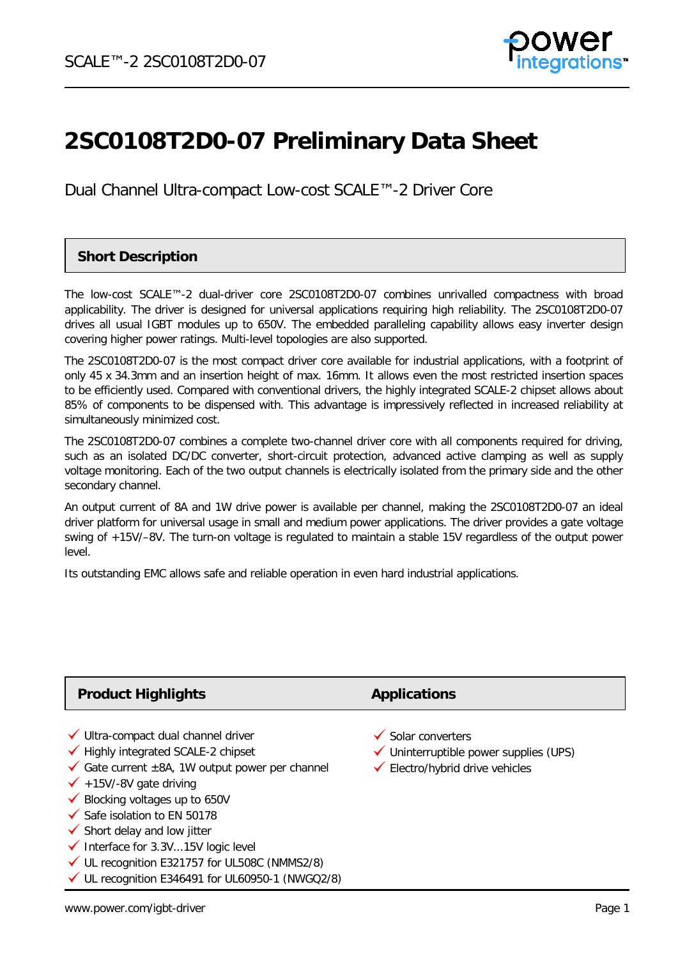

# **2SC0108T2D0-07 Preliminary Data Sheet**

Dual Channel Ultra-compact Low-cost SCALE™-2 Driver Core

### **Short Description**

The low-cost SCALE™-2 dual-driver core 2SC0108T2D0-07 combines unrivalled compactness with broad applicability. The driver is designed for universal applications requiring high reliability. The 2SC0108T2D0-07 drives all usual IGBT modules up to 650V. The embedded paralleling capability allows easy inverter design covering higher power ratings. Multi-level topologies are also supported.

The 2SC0108T2D0-07 is the most compact driver core available for industrial applications, with a footprint of only 45 x 34.3mm and an insertion height of max. 16mm. It allows even the most restricted insertion spaces to be efficiently used. Compared with conventional drivers, the highly integrated SCALE-2 chipset allows about 85% of components to be dispensed with. This advantage is impressively reflected in increased reliability at simultaneously minimized cost.

The 2SC0108T2D0-07 combines a complete two-channel driver core with all components required for driving, such as an isolated DC/DC converter, short-circuit protection, advanced active clamping as well as supply voltage monitoring. Each of the two output channels is electrically isolated from the primary side and the other secondary channel.

An output current of 8A and 1W drive power is available per channel, making the 2SC0108T2D0-07 an ideal driver platform for universal usage in small and medium power applications. The driver provides a gate voltage swing of +15V/–8V. The turn-on voltage is regulated to maintain a stable 15V regardless of the output power level.

Its outstanding EMC allows safe and reliable operation in even hard industrial applications.

| <b>Product Highlights</b>                                                                                                                                                                                                                                                                                                                                                                                                                                                              | <b>Applications</b>                                                                                                   |  |
|----------------------------------------------------------------------------------------------------------------------------------------------------------------------------------------------------------------------------------------------------------------------------------------------------------------------------------------------------------------------------------------------------------------------------------------------------------------------------------------|-----------------------------------------------------------------------------------------------------------------------|--|
| √ Ultra-compact dual channel driver<br>$\checkmark$ Highly integrated SCALE-2 chipset<br>Gate current $\pm$ 8A, 1W output power per channel<br>$\checkmark$ +15V/-8V gate driving<br>$\checkmark$ Blocking voltages up to 650V<br>$\checkmark$ Safe isolation to EN 50178<br>$\checkmark$ Short delay and low jitter<br>$\checkmark$ Interface for 3.3V15V logic level<br>√ UL recognition E321757 for UL508C (NMMS2/8)<br>$\checkmark$ UL recognition E346491 for UL60950-1 (NWGQ2/8) | $\checkmark$ Solar converters<br>$\checkmark$ Uninterruptible power supplies (UPS)<br>← Electro/hybrid drive vehicles |  |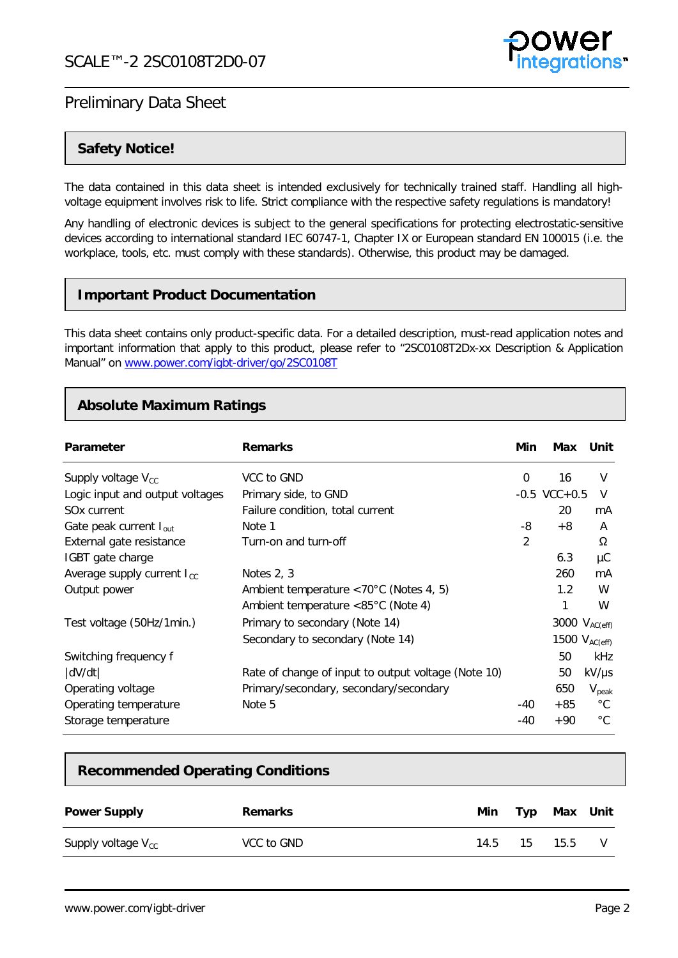

### **Safety Notice!**

The data contained in this data sheet is intended exclusively for technically trained staff. Handling all highvoltage equipment involves risk to life. Strict compliance with the respective safety regulations is mandatory!

Any handling of electronic devices is subject to the general specifications for protecting electrostatic-sensitive devices according to international standard IEC 60747-1, Chapter IX or European standard EN 100015 (i.e. the workplace, tools, etc. must comply with these standards). Otherwise, this product may be damaged.

### **Important Product Documentation**

This data sheet contains only product-specific data. For a detailed description, must-read application notes and important information that apply to this product, please refer to "2SC0108T2Dx-xx Description & Application Manual" on [www.power.com/igbt-driver/go/2SC0108T](http://www.power.com/igbt-driver/go/2SC0108T)

### **Absolute Maximum Ratings**

| Parameter                       | <b>Remarks</b>                                          | Min            | Max                | Unit              |
|---------------------------------|---------------------------------------------------------|----------------|--------------------|-------------------|
| Supply voltage $V_{cc}$         | VCC to GND                                              | 0              | 16                 | V                 |
| Logic input and output voltages | Primary side, to GND                                    |                | $-0.5$ VCC $+0.5$  | V                 |
| SO <sub>x</sub> current         | Failure condition, total current                        |                | 20                 | mA                |
| Gate peak current $I_{out}$     | Note 1                                                  | -8             | $+8$               | A                 |
| External gate resistance        | Turn-on and turn-off                                    | $\overline{2}$ |                    | Ω                 |
| IGBT gate charge                |                                                         |                | 6.3                | μC                |
| Average supply current $I_{cc}$ | Notes $2, 3$                                            |                | 260                | mA                |
| Output power                    | Ambient temperature $\langle 70^{\circ}$ C (Notes 4, 5) |                | 1.2                | W                 |
|                                 | Ambient temperature $< 85^{\circ}$ C (Note 4)           |                |                    | W                 |
| Test voltage (50Hz/1min.)       | Primary to secondary (Note 14)                          |                | 3000 $V_{AC(eff)}$ |                   |
|                                 | Secondary to secondary (Note 14)                        |                | 1500 $V_{AC(eff)}$ |                   |
| Switching frequency f           |                                                         |                | 50                 | kHz               |
| dV/dt                           | Rate of change of input to output voltage (Note 10)     |                | 50                 | $kV/\mu s$        |
| Operating voltage               | Primary/secondary, secondary/secondary                  |                | 650                | $V_{\text{peak}}$ |
| Operating temperature           | Note 5                                                  | -40            | $+85$              | $^{\circ}C$       |
| Storage temperature             |                                                         | -40            | $+90$              | $^{\circ}$ C      |

### **Recommended Operating Conditions**

| <b>Power Supply</b>     | <b>Remarks</b> | Min. | Typ | Max  | Unit |
|-------------------------|----------------|------|-----|------|------|
| Supply voltage $V_{cc}$ | VCC to GND     | 14.5 | 15  | 15.5 |      |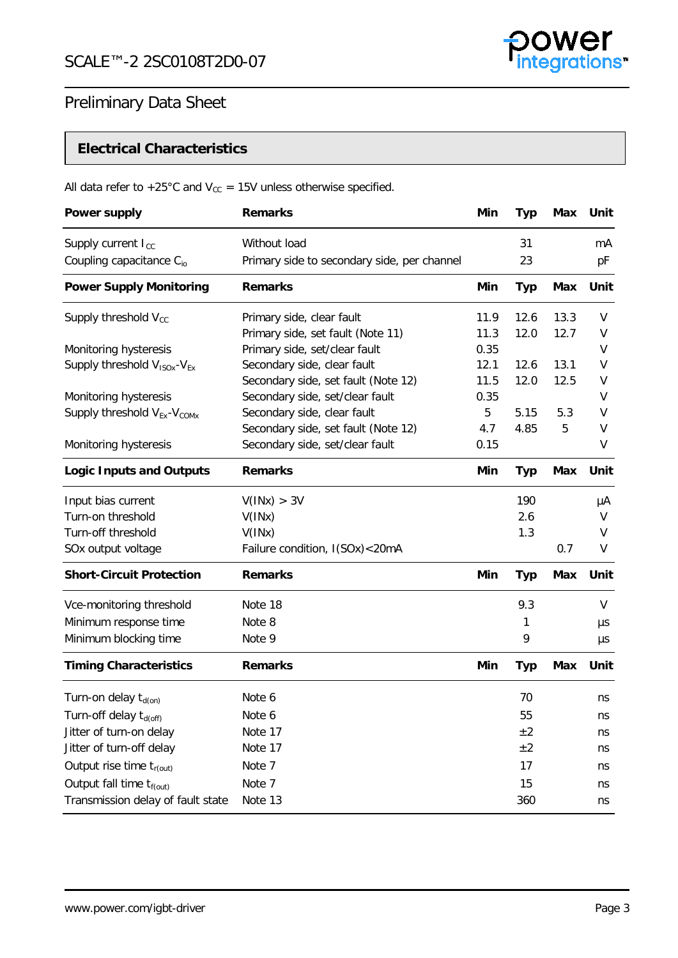

## **Electrical Characteristics**

## All data refer to +25°C and  $V_{cc}$  = 15V unless otherwise specified.

| <b>Power supply</b>                                 | <b>Remarks</b>                              | Min  | Typ        | <b>Max</b> | Unit    |
|-----------------------------------------------------|---------------------------------------------|------|------------|------------|---------|
| Supply current I <sub>cc</sub>                      | Without load                                |      | 31         |            | mA      |
| Coupling capacitance C <sub>io</sub>                | Primary side to secondary side, per channel |      | 23         |            | pF      |
| <b>Power Supply Monitoring</b>                      | <b>Remarks</b>                              | Min  | <b>Typ</b> | Max        | Unit    |
| Supply threshold $V_{cc}$                           | Primary side, clear fault                   | 11.9 | 12.6       | 13.3       | V       |
|                                                     | Primary side, set fault (Note 11)           | 11.3 | 12.0       | 12.7       | V       |
| Monitoring hysteresis                               | Primary side, set/clear fault               | 0.35 |            |            | V       |
| Supply threshold V <sub>ISOx</sub> -V <sub>Ex</sub> | Secondary side, clear fault                 | 12.1 | 12.6       | 13.1       | V       |
|                                                     | Secondary side, set fault (Note 12)         | 11.5 | 12.0       | 12.5       | V       |
| Monitoring hysteresis                               | Secondary side, set/clear fault             | 0.35 |            |            | V       |
| Supply threshold V <sub>Ex</sub> -V <sub>COMx</sub> | Secondary side, clear fault                 | 5    | 5.15       | 5.3        | V       |
|                                                     | Secondary side, set fault (Note 12)         | 4.7  | 4.85       | 5          | V       |
| Monitoring hysteresis                               | Secondary side, set/clear fault             | 0.15 |            |            | V       |
| <b>Logic Inputs and Outputs</b>                     | <b>Remarks</b>                              | Min  | <b>Typ</b> | <b>Max</b> | Unit    |
| Input bias current                                  | V(1Nx) > 3V                                 |      | 190        |            | μA      |
| Turn-on threshold                                   | V(INx)                                      |      | 2.6        |            | V       |
| Turn-off threshold                                  | V(INx)                                      |      | 1.3        |            | V       |
| SOx output voltage                                  | Failure condition, I(SOx)<20mA              |      |            | 0.7        | V       |
| <b>Short-Circuit Protection</b>                     | <b>Remarks</b>                              | Min  | <b>Typ</b> | <b>Max</b> | Unit    |
| Vce-monitoring threshold                            | Note 18                                     |      | 9.3        |            | V       |
| Minimum response time                               | Note 8                                      |      | 1          |            | μs      |
| Minimum blocking time                               | Note 9                                      |      | 9          |            | $\mu s$ |
| <b>Timing Characteristics</b>                       | <b>Remarks</b>                              | Min  | <b>Typ</b> | <b>Max</b> | Unit    |
| Turn-on delay $t_{d(0n)}$                           | Note 6                                      |      | 70         |            | ns      |
| Turn-off delay t <sub>d(off)</sub>                  | Note 6                                      |      | 55         |            | ns      |
| Jitter of turn-on delay                             | Note 17                                     |      | $\pm 2$    |            | ns      |
| Jitter of turn-off delay                            | Note 17                                     |      | ±2         |            | ns      |
| Output rise time $t_{r(out)}$                       | Note 7                                      |      | 17         |            | ns      |
| Output fall time $t_{f(out)}$                       | Note 7                                      |      | 15         |            |         |
| Transmission delay of fault state                   | Note 13                                     |      | 360        |            | ns      |
|                                                     |                                             |      |            |            | ns      |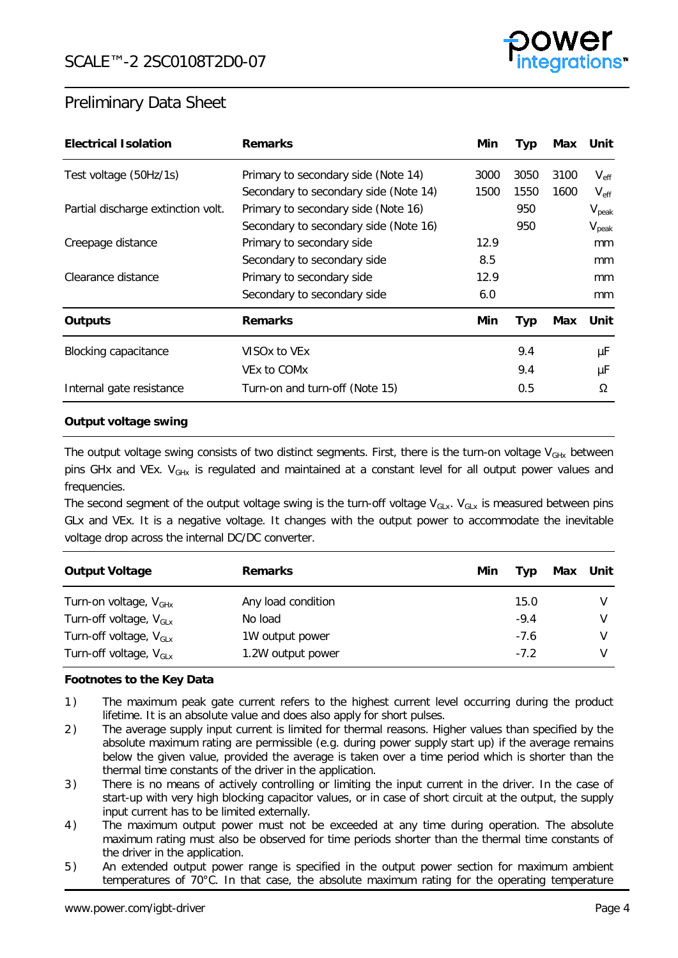

| <b>Electrical Isolation</b>        | <b>Remarks</b>                        | Min. | <b>Typ</b> | Max  | Unit              |
|------------------------------------|---------------------------------------|------|------------|------|-------------------|
| Test voltage (50Hz/1s)             | Primary to secondary side (Note 14)   | 3000 | 3050       | 3100 | $V_{\rm eff}$     |
|                                    | Secondary to secondary side (Note 14) | 1500 | 1550       | 1600 | $V_{\rm eff}$     |
| Partial discharge extinction volt. | Primary to secondary side (Note 16)   |      | 950        |      | $V_{\text{peak}}$ |
|                                    | Secondary to secondary side (Note 16) |      | 950        |      | $V_{\text{peak}}$ |
| Creepage distance                  | Primary to secondary side             | 12.9 |            |      | <sub>mm</sub>     |
|                                    | Secondary to secondary side           | 8.5  |            |      | mm                |
| Clearance distance                 | Primary to secondary side             | 12.9 |            |      | mm                |
|                                    | Secondary to secondary side           | 6.0  |            |      | <sub>mm</sub>     |
| <b>Outputs</b>                     | <b>Remarks</b>                        | Min. | <b>Typ</b> | Max  | Unit              |
| <b>Blocking capacitance</b>        | VISOx to VEx                          |      | 9.4        |      | μF                |
|                                    | VEx to COM <sub>x</sub>               |      | 9.4        |      | μF                |
| Internal gate resistance           | Turn-on and turn-off (Note 15)        |      | 0.5        |      | Ω                 |

### **Output voltage swing**

The output voltage swing consists of two distinct segments. First, there is the turn-on voltage  $V_{\text{GHx}}$  between pins GHx and VEx. V<sub>GHx</sub> is regulated and maintained at a constant level for all output power values and frequencies.

The second segment of the output voltage swing is the turn-off voltage  $V_{G1x}$ .  $V_{G1x}$  is measured between pins GLx and VEx. It is a negative voltage. It changes with the output power to accommodate the inevitable voltage drop across the internal DC/DC converter.

| <b>Output Voltage</b>              | <b>Remarks</b>     | Min | Tvɒ    | Max Unit |
|------------------------------------|--------------------|-----|--------|----------|
| Turn-on voltage, $V_{GHx}$         | Any load condition |     | 15.0   |          |
| Turn-off voltage, $V_{GLx}$        | No load            |     | $-9.4$ |          |
| Turn-off voltage, V <sub>GLx</sub> | 1W output power    |     | $-7.6$ |          |
| Turn-off voltage, $V_{\text{GLX}}$ | 1.2W output power  |     | $-7.2$ |          |

### **Footnotes to the Key Data**

- <span id="page-3-0"></span>1 ) The maximum peak gate current refers to the highest current level occurring during the product lifetime. It is an absolute value and does also apply for short pulses.
- <span id="page-3-1"></span>2 ) The average supply input current is limited for thermal reasons. Higher values than specified by the absolute maximum rating are permissible (e.g. during power supply start up) if the average remains below the given value, provided the average is taken over a time period which is shorter than the thermal time constants of the driver in the application.
- <span id="page-3-2"></span>3) There is no means of actively controlling or limiting the input current in the driver. In the case of start-up with very high blocking capacitor values, or in case of short circuit at the output, the supply input current has to be limited externally.
- <span id="page-3-3"></span>4) The maximum output power must not be exceeded at any time during operation. The absolute maximum rating must also be observed for time periods shorter than the thermal time constants of the driver in the application.
- <span id="page-3-4"></span>5 ) An extended output power range is specified in the output power section for maximum ambient temperatures of 70°C. In that case, the absolute maximum rating for the operating temperature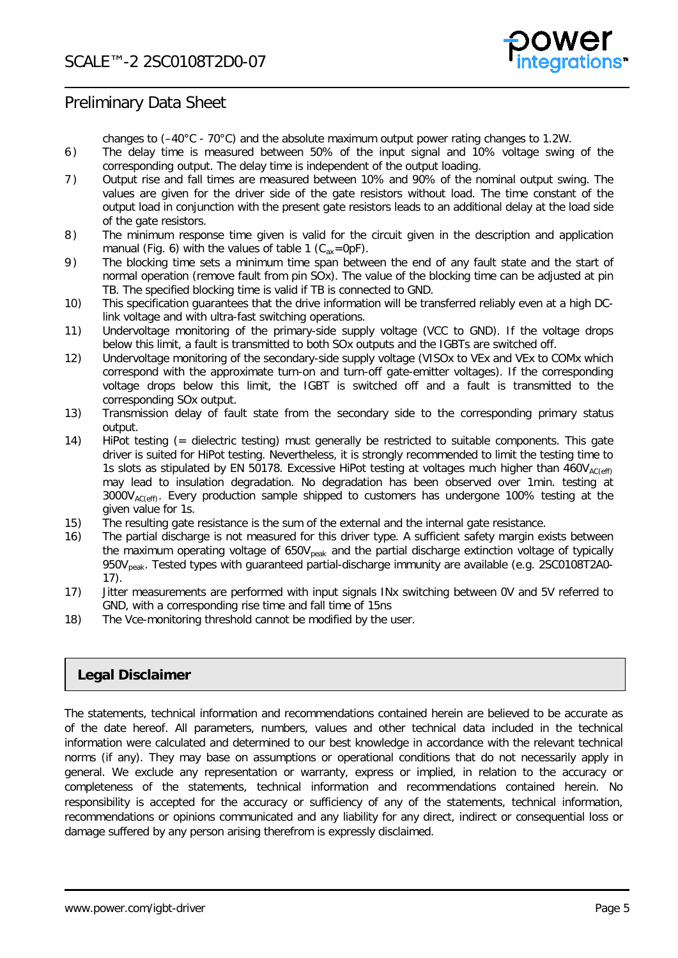

changes to  $(-40^{\circ}C - 70^{\circ}C)$  and the absolute maximum output power rating changes to 1.2W.

- <span id="page-4-7"></span>6 ) The delay time is measured between 50% of the input signal and 10% voltage swing of the corresponding output. The delay time is independent of the output loading.
- <span id="page-4-9"></span>7 ) Output rise and fall times are measured between 10% and 90% of the nominal output swing. The values are given for the driver side of the gate resistors without load. The time constant of the output load in conjunction with the present gate resistors leads to an additional delay at the load side of the gate resistors.
- <span id="page-4-5"></span>8 ) The minimum response time given is valid for the circuit given in the description and application manual (Fig. 6) with the values of table 1 ( $C_{ax}$ =0pF).
- <span id="page-4-6"></span>9 ) The blocking time sets a minimum time span between the end of any fault state and the start of normal operation (remove fault from pin SOx). The value of the blocking time can be adjusted at pin TB. The specified blocking time is valid if TB is connected to GND.
- <span id="page-4-1"></span>10) This specification guarantees that the drive information will be transferred reliably even at a high DClink voltage and with ultra-fast switching operations.
- <span id="page-4-2"></span>11) Undervoltage monitoring of the primary-side supply voltage (VCC to GND). If the voltage drops below this limit, a fault is transmitted to both SOx outputs and the IGBTs are switched off.
- <span id="page-4-3"></span>12) Undervoltage monitoring of the secondary-side supply voltage (VISOx to VEx and VEx to COMx which correspond with the approximate turn-on and turn-off gate-emitter voltages). If the corresponding voltage drops below this limit, the IGBT is switched off and a fault is transmitted to the corresponding SOx output.
- <span id="page-4-10"></span>13) Transmission delay of fault state from the secondary side to the corresponding primary status output.
- <span id="page-4-0"></span>14) HiPot testing (= dielectric testing) must generally be restricted to suitable components. This gate driver is suited for HiPot testing. Nevertheless, it is strongly recommended to limit the testing time to 1s slots as stipulated by EN 50178. Excessive HiPot testing at voltages much higher than  $460V_{AC(c)ef}$ may lead to insulation degradation. No degradation has been observed over 1min. testing at 3000VAC(eff). Every production sample shipped to customers has undergone 100% testing at the given value for 1s.
- <span id="page-4-12"></span>15) The resulting gate resistance is the sum of the external and the internal gate resistance.
- <span id="page-4-11"></span>16) The partial discharge is not measured for this driver type. A sufficient safety margin exists between the maximum operating voltage of  $650V<sub>peak</sub>$  and the partial discharge extinction voltage of typically 950V<sub>peak</sub>. Tested types with guaranteed partial-discharge immunity are available (e.g. 2SC0108T2A0-17).
- <span id="page-4-8"></span>17) Jitter measurements are performed with input signals INx switching between 0V and 5V referred to GND, with a corresponding rise time and fall time of 15ns
- <span id="page-4-4"></span>18) The Vce-monitoring threshold cannot be modified by the user.

### **Legal Disclaimer**

The statements, technical information and recommendations contained herein are believed to be accurate as of the date hereof. All parameters, numbers, values and other technical data included in the technical information were calculated and determined to our best knowledge in accordance with the relevant technical norms (if any). They may base on assumptions or operational conditions that do not necessarily apply in general. We exclude any representation or warranty, express or implied, in relation to the accuracy or completeness of the statements, technical information and recommendations contained herein. No responsibility is accepted for the accuracy or sufficiency of any of the statements, technical information, recommendations or opinions communicated and any liability for any direct, indirect or consequential loss or damage suffered by any person arising therefrom is expressly disclaimed.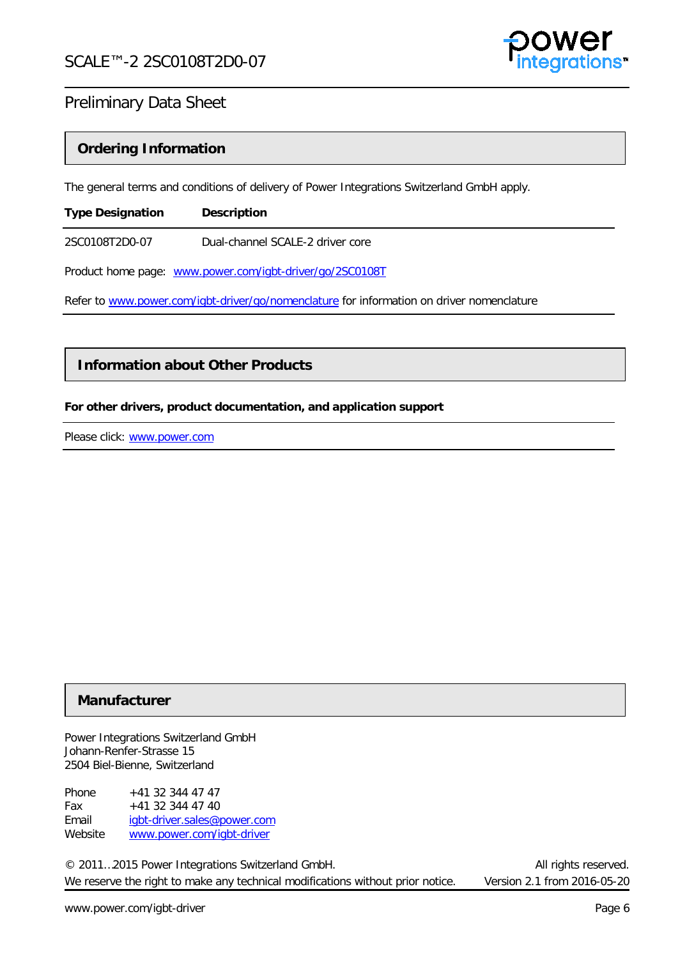

### **Ordering Information**

The general terms and conditions of delivery of Power Integrations Switzerland GmbH apply.

| <b>Type Designation</b> | <b>Description</b>               |
|-------------------------|----------------------------------|
| 2SC0108T2D0-07          | Dual-channel SCALE-2 driver core |

Product home page: [www.power.com/igbt-driver/go/2SC0108T](http://www.power.com/igbt-driver/go/2SC0108T)

Refer to [www.power.com/igbt-driver/go/nomenclature](http://www.power.com/igbt-driver/go/nomenclature) for information on driver nomenclature

### **Information about Other Products**

### **For other drivers, product documentation, and application support**

Please click: www.power.com

### **Manufacturer**

Power Integrations Switzerland GmbH Johann-Renfer-Strasse 15 2504 Biel-Bienne, Switzerland

Phone  $+41$  32 344 47 47 Fax +41 32 344 47 40 Email [igbt-driver.sales@power.com](mailto:igbt-driver.sales@power.com) Website [www.power.com/igbt-driver](http://www.power.com/igbt-driver)

© 2011…2015 Power Integrations Switzerland GmbH. All rights reserved. We reserve the right to make any technical modifications without prior notice. Version 2.1 from 2016-05-20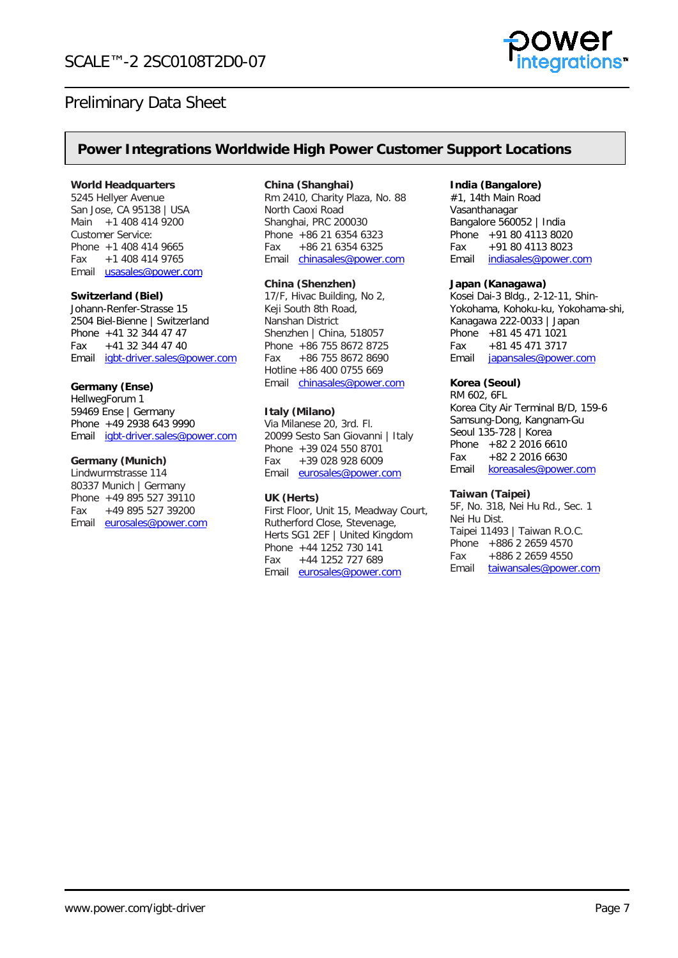

### **Power Integrations Worldwide High Power Customer Support Locations**

#### **World Headquarters**

5245 Hellyer Avenue San Jose, CA 95138 | USA Main +1 408 414 9200 Customer Service: Phone +1 408 414 9665 Fax +1 408 414 9765 Email [usasales@power.com](mailto:usasales@power.com)

#### **Switzerland (Biel)**

Johann-Renfer-Strasse 15 2504 Biel-Bienne | Switzerland Phone +41 32 344 47 47<br>Fax +41 32 344 47 40 +41 32 344 47 40 Email [igbt-driver.sales@power.com](mailto:igbt-driver.sales@power.com)

#### **Germany (Ense)**

HellwegForum 1 59469 Ense | Germany Phone +49 2938 643 9990 Email [igbt-driver.sales@power.com](mailto:igbt-driver.sales@power.com)

#### **Germany (Munich)**

Lindwurmstrasse 114 80337 Munich | Germany Phone +49 895 527 39110 Fax +49 895 527 39200 Email [eurosales@power.com](mailto:eurosales@power.com)

#### **China (Shanghai)**

Rm 2410, Charity Plaza, No. 88 North Caoxi Road Shanghai, PRC 200030 Phone +86 21 6354 6323 Fax +86 21 6354 6325 Email [chinasales@power.com](mailto:chinasales@power.com) 

#### **China (Shenzhen)**

17/F, Hivac Building, No 2, Keji South 8th Road, Nanshan District Shenzhen | China, 518057 Phone +86 755 8672 8725 Fax +86 755 8672 8690 Hotline +86 400 0755 669 Email [chinasales@power.com](mailto:chinasales@power.com)

#### **Italy (Milano)**

Via Milanese 20, 3rd. Fl. 20099 Sesto San Giovanni | Italy Phone +39 024 550 8701 Fax +39 028 928 6009 Email [eurosales@power.com](mailto:eurosales@power.com)

#### **UK (Herts)**

First Floor, Unit 15, Meadway Court, Rutherford Close, Stevenage, Herts SG1 2EF | United Kingdom Phone +44 1252 730 141 Fax +44 1252 727 689 Email [eurosales@power.com](mailto:eurosales@power.com)

#### **India (Bangalore)**

#1, 14th Main Road Vasanthanagar Bangalore 560052 | India Phone +91 80 4113 8020<br>Fax +91 80 4113 8023 +91 80 4113 8023 Email [indiasales@power.com](mailto:indiasales@power.com)

#### **Japan (Kanagawa)**

Kosei Dai-3 Bldg., 2-12-11, Shin-Yokohama, Kohoku-ku, Yokohama-shi, Kanagawa 222-0033 | Japan Phone +81 45 471 1021<br>Fax +81 45 471 3717 +81 45 471 3717 Email [japansales@power.com](mailto:japansales@power.com)

### **Korea (Seoul)**

RM 602, 6FL Korea City Air Terminal B/D, 159-6 Samsung-Dong, Kangnam-Gu Seoul 135-728 | Korea Phone +82 2 2016 6610 Fax +82 2 2016 6630 Email [koreasales@power.com](mailto:koreasales@power.com)

#### **Taiwan (Taipei)**

5F, No. 318, Nei Hu Rd., Sec. 1 Nei Hu Dist. Taipei 11493 | Taiwan R.O.C. Phone +886 2 2659 4570 Fax +886 2 2659 4550 Email [taiwansales@power.com](mailto:taiwansales@power.com)